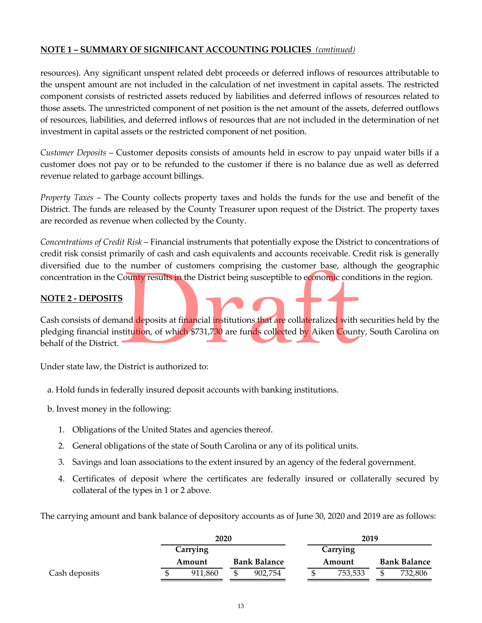## **NOTE 1 – SUMMARY OF SIGNIFICANT ACCOUNTING POLICIES** *(continued)*

resources). Any significant unspent related debt proceeds or deferred inflows of resources attributable to the unspent amount are not included in the calculation of net investment in capital assets. The restricted component consists of restricted assets reduced by liabilities and deferred inflows of resources related to those assets. The unrestricted component of net position is the net amount of the assets, deferred outflows of resources, liabilities, and deferred inflows of resources that are not included in the determination of net investment in capital assets or the restricted component of net position.

*Customer Deposits* – Customer deposits consists of amounts held in escrow to pay unpaid water bills if a customer does not pay or to be refunded to the customer if there is no balance due as well as deferred revenue related to garbage account billings.

*Property Taxes* – The County collects property taxes and holds the funds for the use and benefit of the District. The funds are released by the County Treasurer upon request of the District. The property taxes are recorded as revenue when collected by the County.

*Concentrations of Credit Risk* – Financial instruments that potentially expose the District to concentrations of credit risk consist primarily of cash and cash equivalents and accounts receivable. Credit risk is generally diversified due to the number of customers comprising the customer base, although the geographic concentration in the County results in the District being susceptible to economic conditions in the region.

## **NOTE 2 ‐ DEPOSITS**

Cash consists of demand deposits at financial institutions that are collateralized with securities held by the pledging financial institution, of which \$731,730 are funds collected by Aiken County, South Carolina on behalf of the District.

Under state law, the District is authorized to:

- a. Hold funds in federally insured deposit accounts with banking institutions.
- b. Invest money in the following:
	- 1. Obligations of the United States and agencies thereof.
	- 2. General obligations of the state of South Carolina or any of its political units.
	- 3. Savings and loan associations to the extent insured by an agency of the federal government.
	- 4. Certificates of deposit where the certificates are federally insured or collaterally secured by collateral of the types in 1 or 2 above.

The carrying amount and bank balance of depository accounts as of June 30, 2020 and 2019 are as follows:

|               | 2020                          |  |         |        | 2019                |  |         |  |  |  |
|---------------|-------------------------------|--|---------|--------|---------------------|--|---------|--|--|--|
|               | Carrying                      |  |         |        | Carrying            |  |         |  |  |  |
|               | <b>Bank Balance</b><br>Amount |  |         | Amount | <b>Bank Balance</b> |  |         |  |  |  |
| Cash deposits | 911,860                       |  | 902.754 |        | 753,533             |  | 732,806 |  |  |  |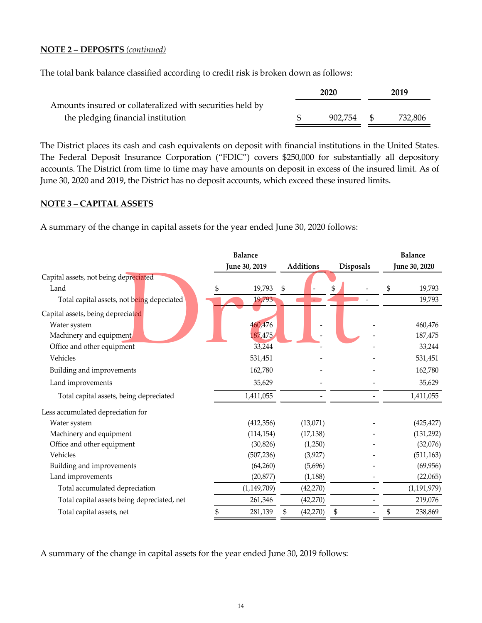### **NOTE 2 – DEPOSITS** *(continued)*

The total bank balance classified according to credit risk is broken down as follows:

|                                                           | 2020       | 2019 |         |  |
|-----------------------------------------------------------|------------|------|---------|--|
| Amounts insured or collateralized with securities held by |            |      |         |  |
| the pledging financial institution                        | 902.754 \$ |      | 732,806 |  |

The District places its cash and cash equivalents on deposit with financial institutions in the United States. The Federal Deposit Insurance Corporation ("FDIC") covers \$250,000 for substantially all depository accounts. The District from time to time may have amounts on deposit in excess of the insured limit. As of June 30, 2020 and 2019, the District has no deposit accounts, which exceed these insured limits.

### **NOTE 3 – CAPITAL ASSETS**

A summary of the change in capital assets for the year ended June 30, 2020 follows:

|                                             | <b>Balance</b><br><b>June 30, 2019</b> |               |    |                  |    |                  |    | <b>Balance</b> |
|---------------------------------------------|----------------------------------------|---------------|----|------------------|----|------------------|----|----------------|
|                                             |                                        |               |    | <b>Additions</b> |    | <b>Disposals</b> |    | June 30, 2020  |
| Capital assets, not being depreciated       |                                        |               |    |                  |    |                  |    |                |
| Land                                        | S                                      | 19,793        | \$ |                  | \$ |                  | \$ | 19,793         |
| Total capital assets, not being depeciated  |                                        | 19,793        |    |                  |    |                  |    | 19,793         |
| Capital assets, being depreciated           |                                        |               |    |                  |    |                  |    |                |
| Water system                                |                                        | 460,476       |    |                  |    |                  |    | 460,476        |
| Machinery and equipment                     |                                        | 187,475       |    |                  |    |                  |    | 187,475        |
| Office and other equipment                  |                                        | 33,244        |    |                  |    |                  |    | 33,244         |
| Vehicles                                    |                                        | 531,451       |    |                  |    |                  |    | 531,451        |
| Building and improvements                   |                                        | 162,780       |    |                  |    |                  |    | 162,780        |
| Land improvements                           |                                        | 35,629        |    |                  |    |                  |    | 35,629         |
| Total capital assets, being depreciated     |                                        | 1,411,055     |    |                  |    |                  |    | 1,411,055      |
| Less accumulated depreciation for           |                                        |               |    |                  |    |                  |    |                |
| Water system                                |                                        | (412, 356)    |    | (13,071)         |    |                  |    | (425, 427)     |
| Machinery and equipment                     |                                        | (114, 154)    |    | (17, 138)        |    |                  |    | (131, 292)     |
| Office and other equipment                  |                                        | (30, 826)     |    | (1,250)          |    |                  |    | (32,076)       |
| Vehicles                                    |                                        | (507, 236)    |    | (3,927)          |    |                  |    | (511, 163)     |
| Building and improvements                   |                                        | (64,260)      |    | (5,696)          |    |                  |    | (69, 956)      |
| Land improvements                           |                                        | (20, 877)     |    | (1, 188)         |    |                  |    | (22,065)       |
| Total accumulated depreciation              |                                        | (1, 149, 709) |    | (42, 270)        |    |                  |    | (1, 191, 979)  |
| Total capital assets being depreciated, net |                                        | 261,346       |    | (42,270)         |    |                  |    | 219,076        |
| Total capital assets, net                   | \$                                     | 281,139       | \$ | (42, 270)        | \$ |                  | \$ | 238,869        |

A summary of the change in capital assets for the year ended June 30, 2019 follows: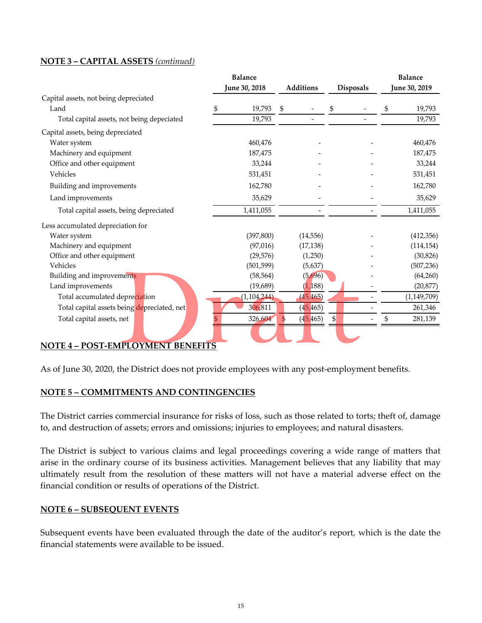### **NOTE 3 – CAPITAL ASSETS** *(continued)*

|                                             | <b>Balance</b> |               |              |                          |    |                  | <b>Balance</b> |               |  |
|---------------------------------------------|----------------|---------------|--------------|--------------------------|----|------------------|----------------|---------------|--|
|                                             | June 30, 2018  |               |              | <b>Additions</b>         |    | <b>Disposals</b> |                | June 30, 2019 |  |
| Capital assets, not being depreciated       |                |               |              |                          |    |                  |                |               |  |
| Land                                        |                | 19,793        | $\mathbb{S}$ |                          | \$ |                  | S              | 19,793        |  |
| Total capital assets, not being depeciated  |                | 19,793        |              |                          |    |                  |                | 19,793        |  |
| Capital assets, being depreciated           |                |               |              |                          |    |                  |                |               |  |
| Water system                                |                | 460,476       |              |                          |    |                  |                | 460,476       |  |
| Machinery and equipment                     |                | 187,475       |              |                          |    |                  |                | 187,475       |  |
| Office and other equipment                  |                | 33,244        |              |                          |    |                  |                | 33,244        |  |
| Vehicles                                    |                | 531,451       |              |                          |    |                  |                | 531,451       |  |
| Building and improvements                   |                | 162,780       |              |                          |    |                  |                | 162,780       |  |
| Land improvements                           |                | 35,629        |              |                          |    |                  |                | 35,629        |  |
| Total capital assets, being depreciated     |                | 1,411,055     |              | $\overline{\phantom{0}}$ |    |                  |                | 1,411,055     |  |
| Less accumulated depreciation for           |                |               |              |                          |    |                  |                |               |  |
| Water system                                |                | (397, 800)    |              | (14, 556)                |    |                  |                | (412, 356)    |  |
| Machinery and equipment                     |                | (97, 016)     |              | (17, 138)                |    |                  |                | (114, 154)    |  |
| Office and other equipment                  |                | (29, 576)     |              | (1,250)                  |    |                  |                | (30, 826)     |  |
| Vehicles                                    |                | (501, 599)    |              | (5,637)                  |    |                  |                | (507, 236)    |  |
| Building and improvements                   |                | (58, 564)     |              | (5,696)                  |    |                  |                | (64,260)      |  |
| Land improvements                           |                | (19, 689)     |              | (1, 188)                 |    |                  |                | (20, 877)     |  |
| Total accumulated depreciation              |                | (1, 104, 244) |              | (45, 465)                |    |                  |                | (1, 149, 709) |  |
| Total capital assets being depreciated, net |                | 306,811       |              | (45, 465)                |    |                  |                | 261,346       |  |
| Total capital assets, net                   |                | 326,604       | \$           | (45, 465)                | \$ |                  |                | 281,139       |  |

## **NOTE 4 – POST‐EMPLOYMENT BENEFITS**

As of June 30, 2020, the District does not provide employees with any post-employment benefits.

## **NOTE 5 – COMMITMENTS AND CONTINGENCIES**

The District carries commercial insurance for risks of loss, such as those related to torts; theft of, damage to, and destruction of assets; errors and omissions; injuries to employees; and natural disasters.

The District is subject to various claims and legal proceedings covering a wide range of matters that arise in the ordinary course of its business activities. Management believes that any liability that may ultimately result from the resolution of these matters will not have a material adverse effect on the financial condition or results of operations of the District.

### **NOTE 6 – SUBSEQUENT EVENTS**

Subsequent events have been evaluated through the date of the auditor's report, which is the date the financial statements were available to be issued.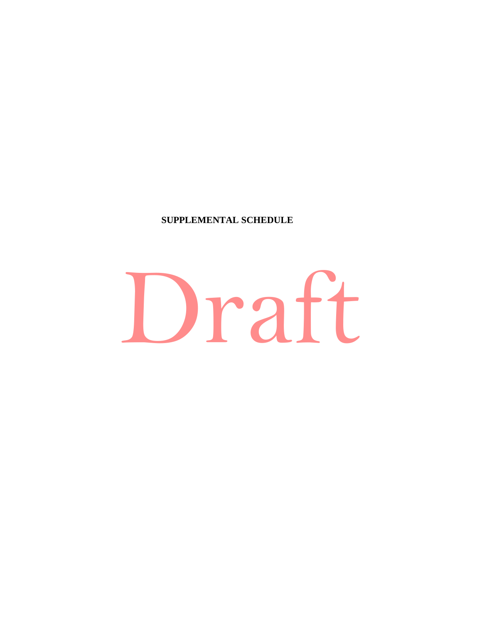# **SUPPLEMENTAL SCHEDULE**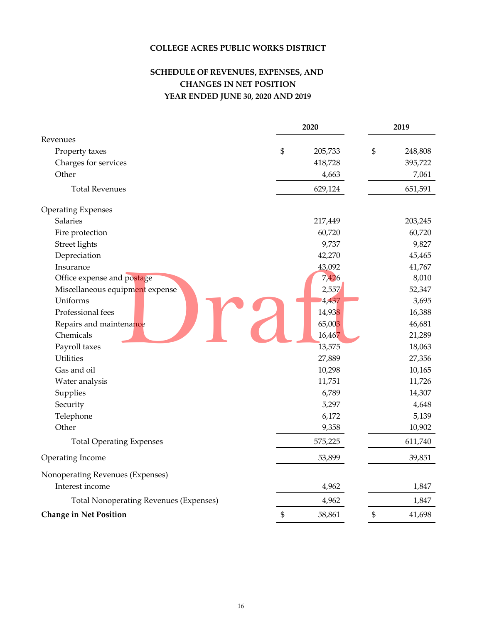## **COLLEGE ACRES PUBLIC WORKS DISTRICT**

# **SCHEDULE OF REVENUES, EXPENSES, AND CHANGES IN NET POSITION YEAR ENDED JUNE 30, 2020 AND 2019**

|                                               |                | 2020    |              | 2019    |
|-----------------------------------------------|----------------|---------|--------------|---------|
| Revenues                                      |                |         |              |         |
| Property taxes                                | $\mathfrak{S}$ | 205,733 | \$           | 248,808 |
| Charges for services                          |                | 418,728 |              | 395,722 |
| Other                                         |                | 4,663   |              | 7,061   |
| <b>Total Revenues</b>                         |                | 629,124 |              | 651,591 |
| <b>Operating Expenses</b>                     |                |         |              |         |
| Salaries                                      |                | 217,449 |              | 203,245 |
| Fire protection                               |                | 60,720  |              | 60,720  |
| Street lights                                 |                | 9,737   |              | 9,827   |
| Depreciation                                  |                | 42,270  |              | 45,465  |
| Insurance                                     |                | 43,092  |              | 41,767  |
| Office expense and postage                    |                | 7,426   |              | 8,010   |
| Miscellaneous equipment expense               |                | 2,557   |              | 52,347  |
| Uniforms                                      |                | 4,437   |              | 3,695   |
| Professional fees                             |                | 14,938  |              | 16,388  |
| Repairs and maintenance                       |                | 65,003  |              | 46,681  |
| Chemicals                                     |                | 16,467  |              | 21,289  |
| Payroll taxes                                 |                | 13,575  |              | 18,063  |
| <b>Utilities</b>                              |                | 27,889  |              | 27,356  |
| Gas and oil                                   |                | 10,298  |              | 10,165  |
| Water analysis                                |                | 11,751  |              | 11,726  |
| Supplies                                      |                | 6,789   |              | 14,307  |
| Security                                      |                | 5,297   |              | 4,648   |
| Telephone                                     |                | 6,172   |              | 5,139   |
| Other                                         |                | 9,358   |              | 10,902  |
| <b>Total Operating Expenses</b>               |                | 575,225 |              | 611,740 |
| Operating Income                              |                | 53,899  |              | 39,851  |
| Nonoperating Revenues (Expenses)              |                |         |              |         |
| Interest income                               |                | 4,962   |              | 1,847   |
| <b>Total Nonoperating Revenues (Expenses)</b> |                | 4,962   |              | 1,847   |
| <b>Change in Net Position</b>                 | $\mathbb{S}$   | 58,861  | $\mathbb{S}$ | 41,698  |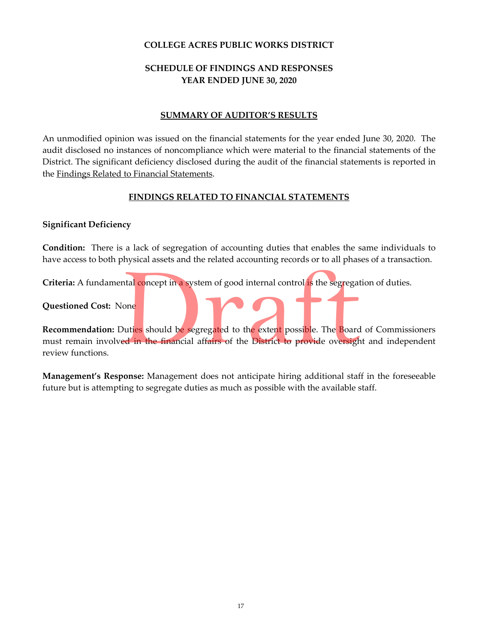## **COLLEGE ACRES PUBLIC WORKS DISTRICT**

# **SCHEDULE OF FINDINGS AND RESPONSES YEAR ENDED JUNE 30, 2020**

## **SUMMARY OF AUDITOR'S RESULTS**

An unmodified opinion was issued on the financial statements for the year ended June 30, 2020. The audit disclosed no instances of noncompliance which were material to the financial statements of the District. The significant deficiency disclosed during the audit of the financial statements is reported in the Findings Related to Financial Statements.

## **FINDINGS RELATED TO FINANCIAL STATEMENTS**

## **Significant Deficiency**

**Condition:** There is a lack of segregation of accounting duties that enables the same individuals to have access to both physical assets and the related accounting records or to all phases of a transaction.

**Criteria:** A fundamental concept in a system of good internal control is the segregation of duties.

**Questioned Cost:** None

**Recommendation:** Duties should be segregated to the extent possible. The Board of Commissioners must remain involved in the financial affairs of the District to provide oversight and independent review functions.

**Management's Response:** Management does not anticipate hiring additional staff in the foreseeable future but is attempting to segregate duties as much as possible with the available staff.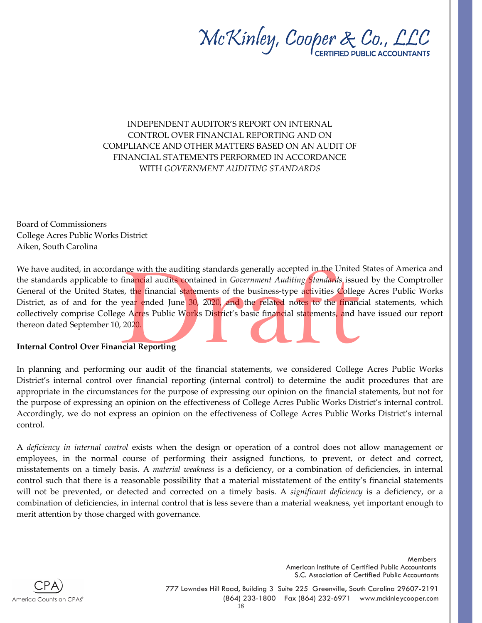

INDEPENDENT AUDITOR'S REPORT ON INTERNAL CONTROL OVER FINANCIAL REPORTING AND ON COMPLIANCE AND OTHER MATTERS BASED ON AN AUDIT OF FINANCIAL STATEMENTS PERFORMED IN ACCORDANCE WITH *GOVERNMENT AUDITING STANDARDS*

Board of Commissioners College Acres Public Works District Aiken, South Carolina

We have audited, in accordance with the auditing standards generally accepted in the United States of America and the standards applicable to financial audits contained in *Government Auditing Standards* issued by the Comptroller General of the United States, the financial statements of the business-type activities College Acres Public Works District, as of and for the year ended June 30, 2020, and the related notes to the financial statements, which collectively comprise College Acres Public Works District's basic financial statements, and have issued our report thereon dated September 10, 2020.

### **Internal Control Over Financial Reporting**

In planning and performing our audit of the financial statements, we considered College Acres Public Works District's internal control over financial reporting (internal control) to determine the audit procedures that are appropriate in the circumstances for the purpose of expressing our opinion on the financial statements, but not for the purpose of expressing an opinion on the effectiveness of College Acres Public Works District's internal control. Accordingly, we do not express an opinion on the effectiveness of College Acres Public Works District's internal control.

A *deficiency in internal control* exists when the design or operation of a control does not allow management or employees, in the normal course of performing their assigned functions, to prevent, or detect and correct, misstatements on a timely basis. A *material weakness* is a deficiency, or a combination of deficiencies, in internal control such that there is a reasonable possibility that a material misstatement of the entity's financial statements will not be prevented, or detected and corrected on a timely basis. A *significant deficiency* is a deficiency, or a combination of deficiencies, in internal control that is less severe than a material weakness, yet important enough to merit attention by those charged with governance.